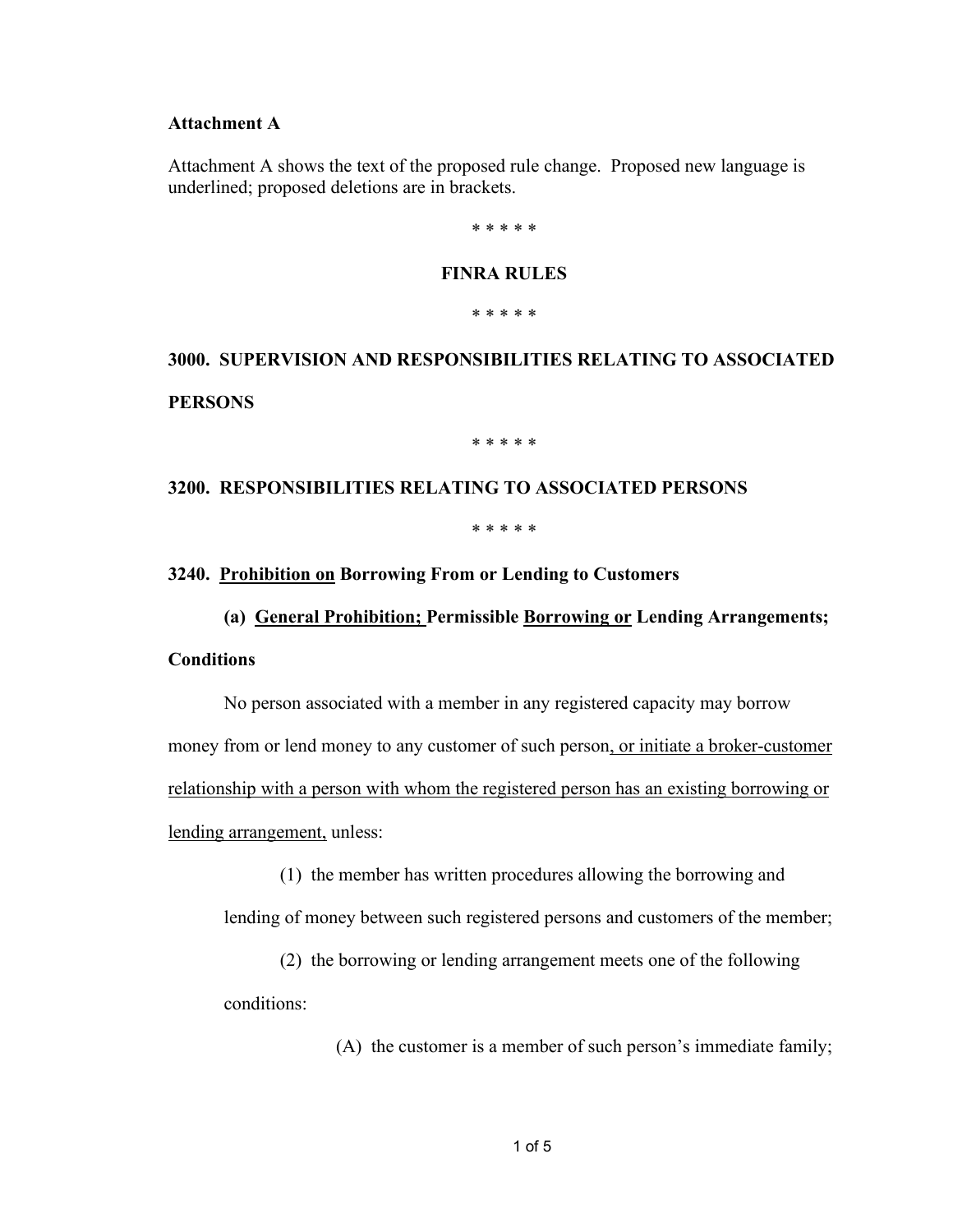#### **Attachment A**

Attachment A shows the text of the proposed rule change. Proposed new language is underlined; proposed deletions are in brackets.

\* \* \* \* \*

# **FINRA RULES**

\* \* \* \* \*

**3000. SUPERVISION AND RESPONSIBILITIES RELATING TO ASSOCIATED PERSONS**

\* \* \* \* \*

# **3200. RESPONSIBILITIES RELATING TO ASSOCIATED PERSONS** \* \* \* \* \*

# **3240. Prohibition on Borrowing From or Lending to Customers**

### **(a) General Prohibition; Permissible Borrowing or Lending Arrangements;**

#### **Conditions**

No person associated with a member in any registered capacity may borrow money from or lend money to any customer of such person, or initiate a broker-customer relationship with a person with whom the registered person has an existing borrowing or lending arrangement, unless:

(1) the member has written procedures allowing the borrowing and

lending of money between such registered persons and customers of the member;

(2) the borrowing or lending arrangement meets one of the following conditions:

(A) the customer is a member of such person's immediate family;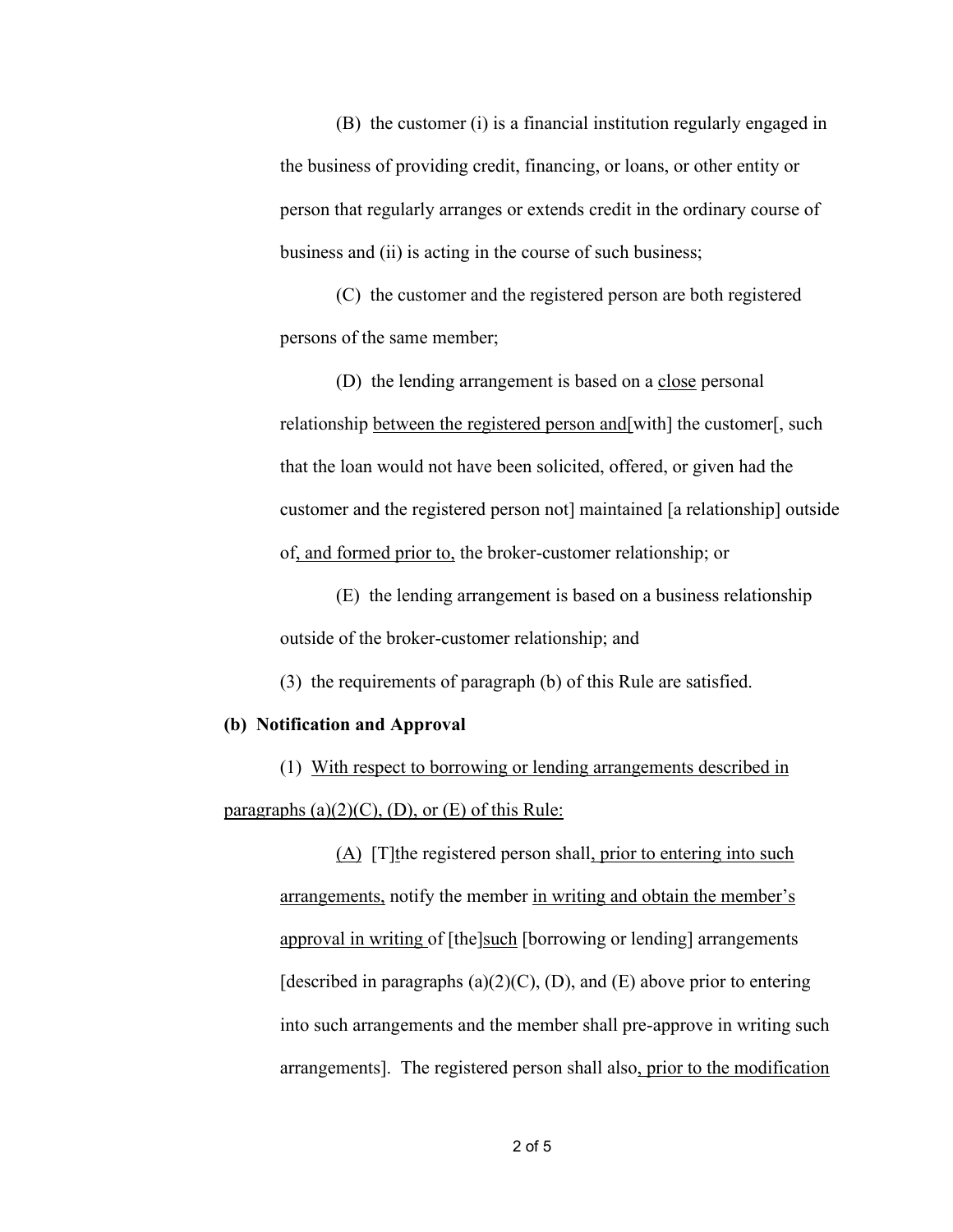(B) the customer (i) is a financial institution regularly engaged in the business of providing credit, financing, or loans, or other entity or person that regularly arranges or extends credit in the ordinary course of business and (ii) is acting in the course of such business;

(C) the customer and the registered person are both registered persons of the same member;

(D) the lending arrangement is based on a close personal relationship between the registered person and[with] the customer[, such that the loan would not have been solicited, offered, or given had the customer and the registered person not] maintained [a relationship] outside of, and formed prior to, the broker-customer relationship; or

(E) the lending arrangement is based on a business relationship outside of the broker-customer relationship; and

(3) the requirements of paragraph (b) of this Rule are satisfied.

#### **(b) Notification and Approval**

(1) With respect to borrowing or lending arrangements described in paragraphs  $(a)(2)(C)$ ,  $(D)$ , or  $(E)$  of this Rule:

> (A) [T]the registered person shall, prior to entering into such arrangements, notify the member in writing and obtain the member's approval in writing of [the]such [borrowing or lending] arrangements [described in paragraphs (a)(2)(C), (D), and (E) above prior to entering into such arrangements and the member shall pre-approve in writing such arrangements]. The registered person shall also, prior to the modification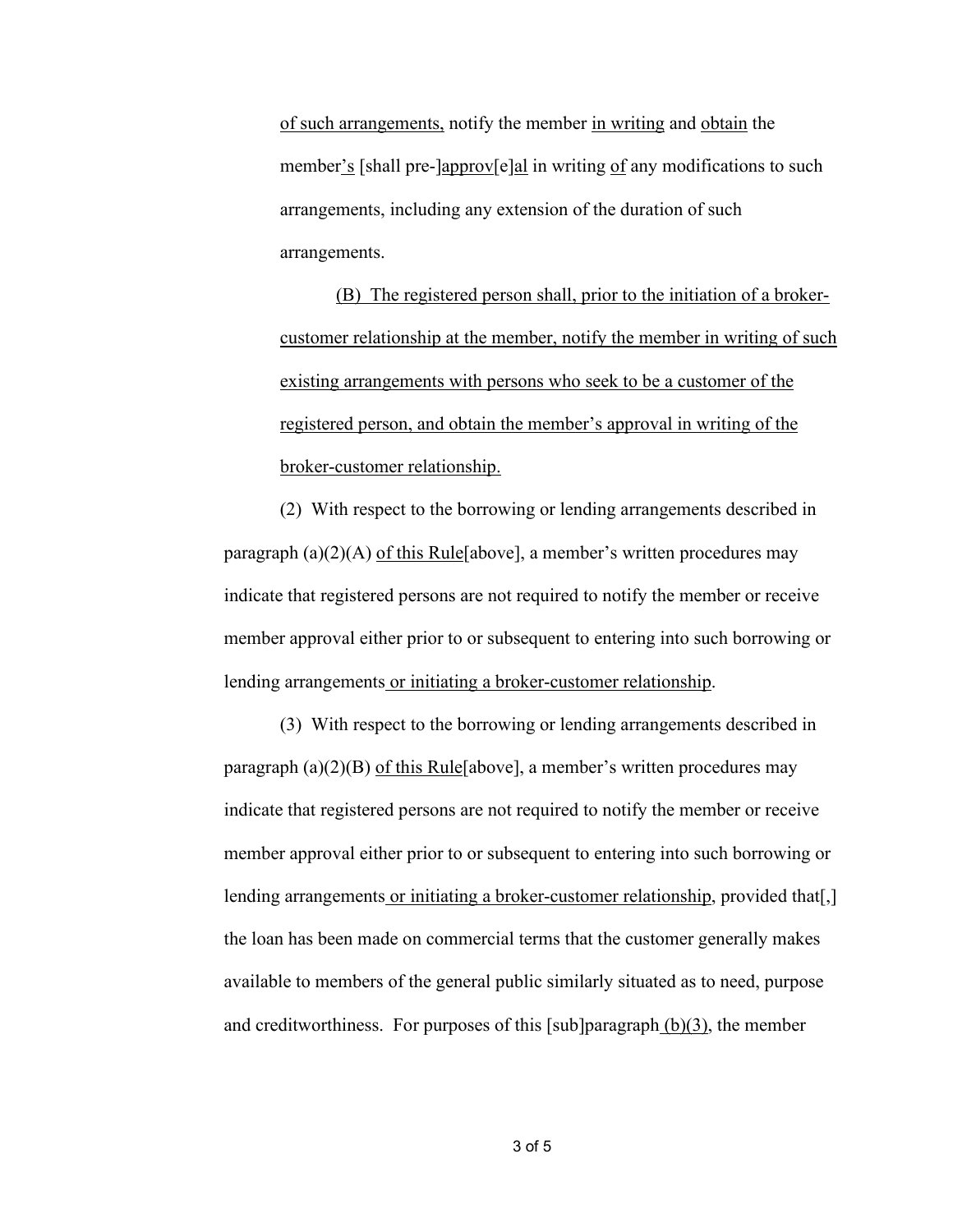of such arrangements, notify the member in writing and obtain the member's [shall pre-]approv[e]al in writing of any modifications to such arrangements, including any extension of the duration of such arrangements.

(B) The registered person shall, prior to the initiation of a brokercustomer relationship at the member, notify the member in writing of such existing arrangements with persons who seek to be a customer of the registered person, and obtain the member's approval in writing of the broker-customer relationship.

(2) With respect to the borrowing or lending arrangements described in paragraph (a)(2)(A) of this Rule[above], a member's written procedures may indicate that registered persons are not required to notify the member or receive member approval either prior to or subsequent to entering into such borrowing or lending arrangements or initiating a broker-customer relationship.

(3) With respect to the borrowing or lending arrangements described in paragraph (a)(2)(B) of this Rule [above], a member's written procedures may indicate that registered persons are not required to notify the member or receive member approval either prior to or subsequent to entering into such borrowing or lending arrangements or initiating a broker-customer relationship, provided that[,] the loan has been made on commercial terms that the customer generally makes available to members of the general public similarly situated as to need, purpose and creditworthiness. For purposes of this [sub]paragraph  $(b)(3)$ , the member

3 of 5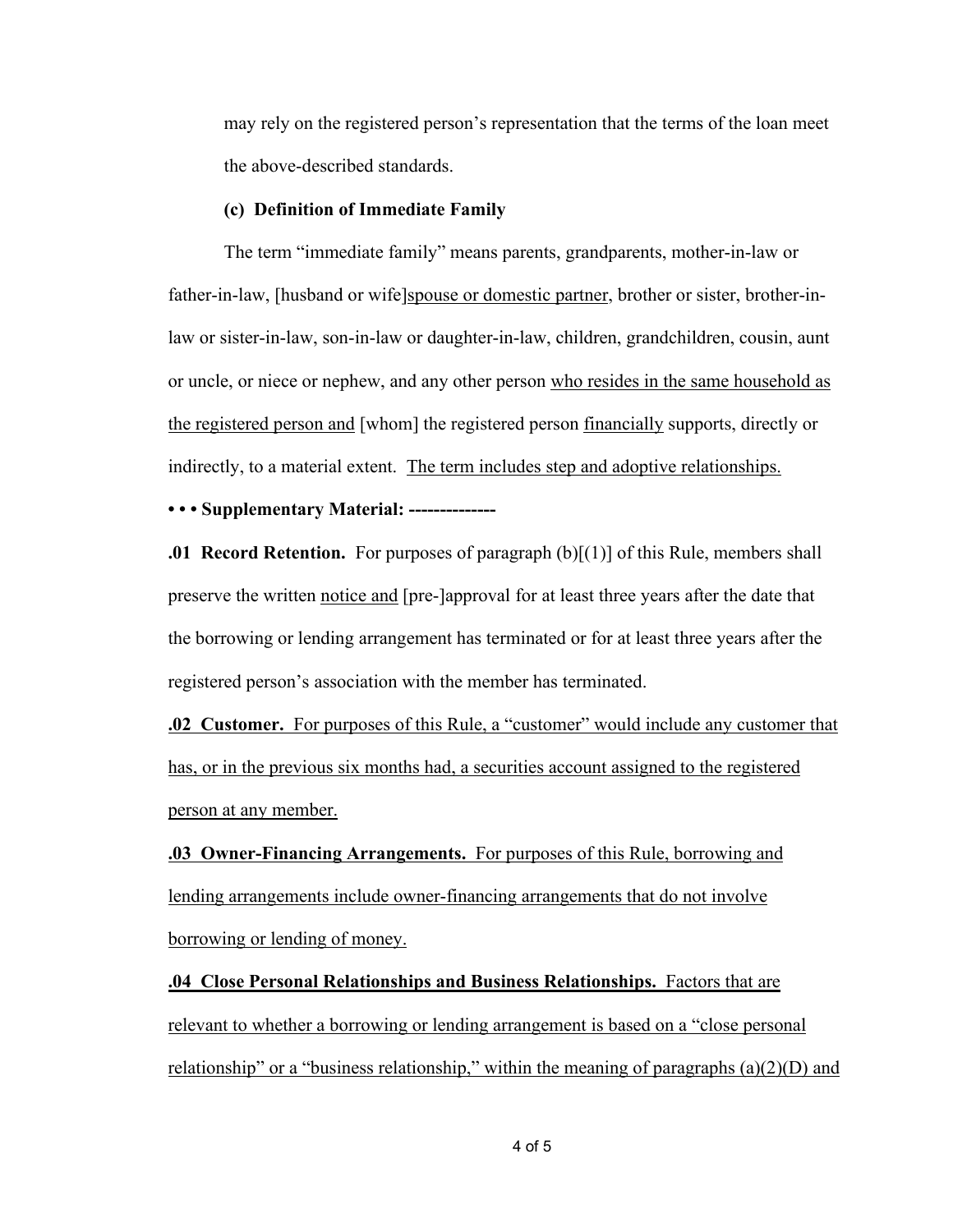may rely on the registered person's representation that the terms of the loan meet the above-described standards.

#### **(c) Definition of Immediate Family**

The term "immediate family" means parents, grandparents, mother-in-law or father-in-law, [husband or wife]spouse or domestic partner, brother or sister, brother-inlaw or sister-in-law, son-in-law or daughter-in-law, children, grandchildren, cousin, aunt or uncle, or niece or nephew, and any other person who resides in the same household as the registered person and [whom] the registered person financially supports, directly or indirectly, to a material extent. The term includes step and adoptive relationships.

#### **• • • Supplementary Material: --------------**

**.01 Record Retention.** For purposes of paragraph (b)[(1)] of this Rule, members shall preserve the written notice and [pre-]approval for at least three years after the date that the borrowing or lending arrangement has terminated or for at least three years after the registered person's association with the member has terminated.

**.02 Customer.** For purposes of this Rule, a "customer" would include any customer that has, or in the previous six months had, a securities account assigned to the registered person at any member.

**.03 Owner-Financing Arrangements.** For purposes of this Rule, borrowing and lending arrangements include owner-financing arrangements that do not involve borrowing or lending of money.

**.04 Close Personal Relationships and Business Relationships.** Factors that are relevant to whether a borrowing or lending arrangement is based on a "close personal relationship" or a "business relationship," within the meaning of paragraphs  $(a)(2)(D)$  and